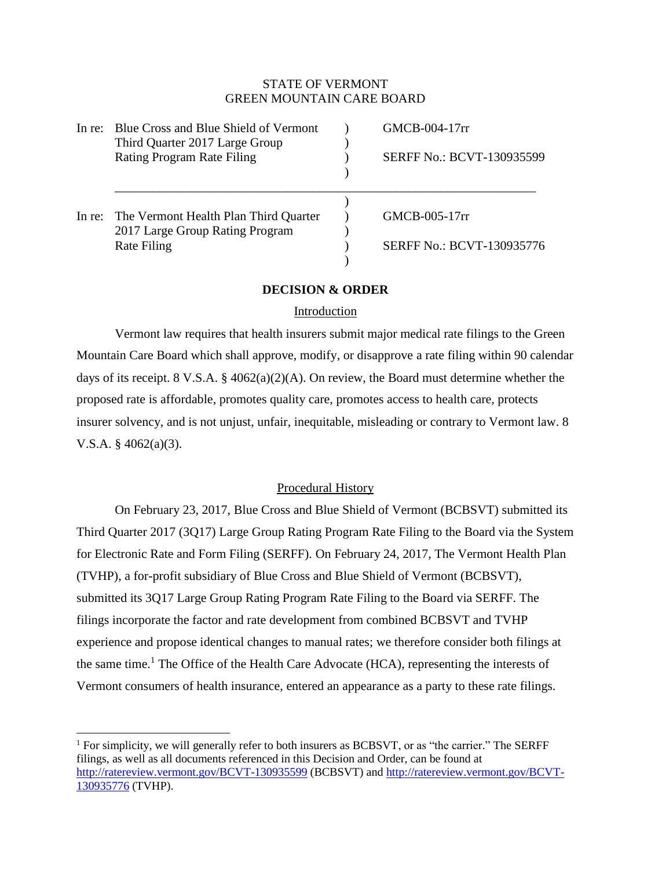# STATE OF VERMONT GREEN MOUNTAIN CARE BOARD

| In re: | Blue Cross and Blue Shield of Vermont<br>Third Quarter 2017 Large Group         | GMCB-004-17rr                    |
|--------|---------------------------------------------------------------------------------|----------------------------------|
|        | <b>Rating Program Rate Filing</b>                                               | SERFF No.: BCVT-130935599        |
|        | In re: The Vermont Health Plan Third Quarter<br>2017 Large Group Rating Program | GMCB-005-17rr                    |
|        | <b>Rate Filing</b>                                                              | <b>SERFF No.: BCVT-130935776</b> |

# **DECISION & ORDER**

## Introduction

Vermont law requires that health insurers submit major medical rate filings to the Green Mountain Care Board which shall approve, modify, or disapprove a rate filing within 90 calendar days of its receipt. 8 V.S.A. § 4062(a)(2)(A). On review, the Board must determine whether the proposed rate is affordable, promotes quality care, promotes access to health care, protects insurer solvency, and is not unjust, unfair, inequitable, misleading or contrary to Vermont law. 8 V.S.A.  $§$  4062(a)(3).

## Procedural History

On February 23, 2017, Blue Cross and Blue Shield of Vermont (BCBSVT) submitted its Third Quarter 2017 (3Q17) Large Group Rating Program Rate Filing to the Board via the System for Electronic Rate and Form Filing (SERFF). On February 24, 2017, The Vermont Health Plan (TVHP), a for-profit subsidiary of Blue Cross and Blue Shield of Vermont (BCBSVT), submitted its 3Q17 Large Group Rating Program Rate Filing to the Board via SERFF. The filings incorporate the factor and rate development from combined BCBSVT and TVHP experience and propose identical changes to manual rates; we therefore consider both filings at the same time.<sup>1</sup> The Office of the Health Care Advocate (HCA), representing the interests of Vermont consumers of health insurance, entered an appearance as a party to these rate filings.

 $\overline{\phantom{a}}$ 

<sup>1</sup> For simplicity, we will generally refer to both insurers as BCBSVT, or as "the carrier." The SERFF filings, as well as all documents referenced in this Decision and Order, can be found at <http://ratereview.vermont.gov/BCVT-130935599> (BCBSVT) and [http://ratereview.vermont.gov/BCVT-](http://ratereview.vermont.gov/BCVT-130935776)[130935776](http://ratereview.vermont.gov/BCVT-130935776) (TVHP).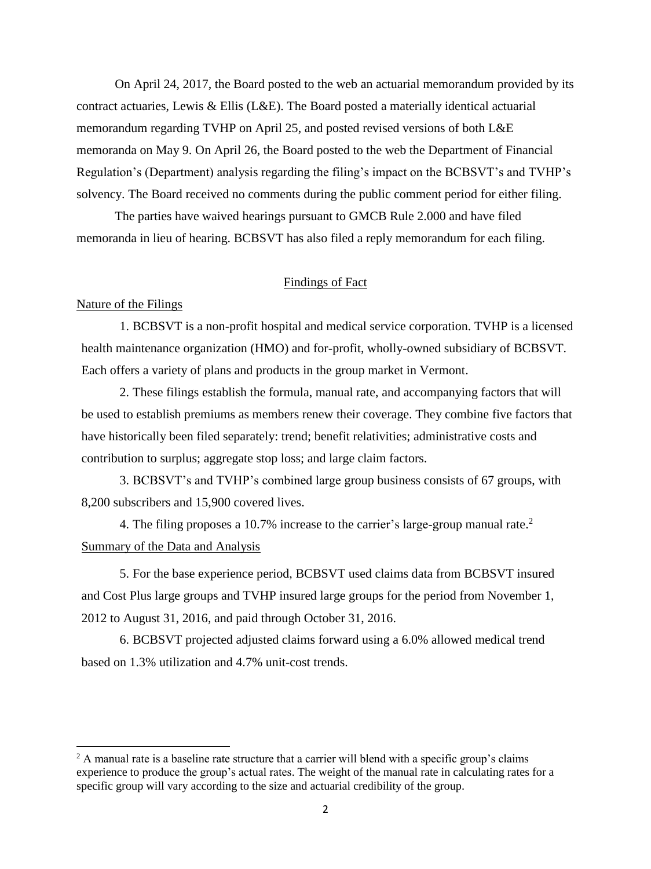On April 24, 2017, the Board posted to the web an actuarial memorandum provided by its contract actuaries, Lewis & Ellis (L&E). The Board posted a materially identical actuarial memorandum regarding TVHP on April 25, and posted revised versions of both L&E memoranda on May 9. On April 26, the Board posted to the web the Department of Financial Regulation's (Department) analysis regarding the filing's impact on the BCBSVT's and TVHP's solvency. The Board received no comments during the public comment period for either filing.

The parties have waived hearings pursuant to GMCB Rule 2.000 and have filed memoranda in lieu of hearing. BCBSVT has also filed a reply memorandum for each filing.

# Findings of Fact

#### Nature of the Filings

 $\overline{\phantom{a}}$ 

1. BCBSVT is a non-profit hospital and medical service corporation. TVHP is a licensed health maintenance organization (HMO) and for-profit, wholly-owned subsidiary of BCBSVT. Each offers a variety of plans and products in the group market in Vermont.

2. These filings establish the formula, manual rate, and accompanying factors that will be used to establish premiums as members renew their coverage. They combine five factors that have historically been filed separately: trend; benefit relativities; administrative costs and contribution to surplus; aggregate stop loss; and large claim factors.

3. BCBSVT's and TVHP's combined large group business consists of 67 groups, with 8,200 subscribers and 15,900 covered lives.

4. The filing proposes a 10.7% increase to the carrier's large-group manual rate.<sup>2</sup> Summary of the Data and Analysis

5. For the base experience period, BCBSVT used claims data from BCBSVT insured and Cost Plus large groups and TVHP insured large groups for the period from November 1, 2012 to August 31, 2016, and paid through October 31, 2016.

6. BCBSVT projected adjusted claims forward using a 6.0% allowed medical trend based on 1.3% utilization and 4.7% unit-cost trends.

 $2 \text{ A}$  manual rate is a baseline rate structure that a carrier will blend with a specific group's claims experience to produce the group's actual rates. The weight of the manual rate in calculating rates for a specific group will vary according to the size and actuarial credibility of the group.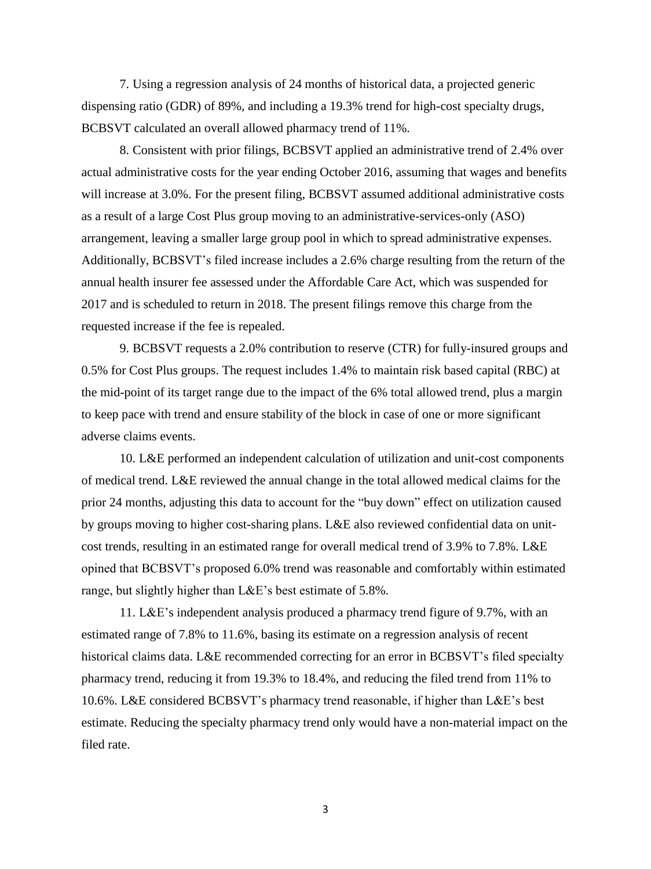7. Using a regression analysis of 24 months of historical data, a projected generic dispensing ratio (GDR) of 89%, and including a 19.3% trend for high-cost specialty drugs, BCBSVT calculated an overall allowed pharmacy trend of 11%.

8. Consistent with prior filings, BCBSVT applied an administrative trend of 2.4% over actual administrative costs for the year ending October 2016, assuming that wages and benefits will increase at 3.0%. For the present filing, BCBSVT assumed additional administrative costs as a result of a large Cost Plus group moving to an administrative-services-only (ASO) arrangement, leaving a smaller large group pool in which to spread administrative expenses. Additionally, BCBSVT's filed increase includes a 2.6% charge resulting from the return of the annual health insurer fee assessed under the Affordable Care Act, which was suspended for 2017 and is scheduled to return in 2018. The present filings remove this charge from the requested increase if the fee is repealed.

9. BCBSVT requests a 2.0% contribution to reserve (CTR) for fully-insured groups and 0.5% for Cost Plus groups. The request includes 1.4% to maintain risk based capital (RBC) at the mid-point of its target range due to the impact of the 6% total allowed trend, plus a margin to keep pace with trend and ensure stability of the block in case of one or more significant adverse claims events.

10. L&E performed an independent calculation of utilization and unit-cost components of medical trend. L&E reviewed the annual change in the total allowed medical claims for the prior 24 months, adjusting this data to account for the "buy down" effect on utilization caused by groups moving to higher cost-sharing plans. L&E also reviewed confidential data on unitcost trends, resulting in an estimated range for overall medical trend of 3.9% to 7.8%. L&E opined that BCBSVT's proposed 6.0% trend was reasonable and comfortably within estimated range, but slightly higher than L&E's best estimate of 5.8%.

11. L&E's independent analysis produced a pharmacy trend figure of 9.7%, with an estimated range of 7.8% to 11.6%, basing its estimate on a regression analysis of recent historical claims data. L&E recommended correcting for an error in BCBSVT's filed specialty pharmacy trend, reducing it from 19.3% to 18.4%, and reducing the filed trend from 11% to 10.6%. L&E considered BCBSVT's pharmacy trend reasonable, if higher than L&E's best estimate. Reducing the specialty pharmacy trend only would have a non-material impact on the filed rate.

3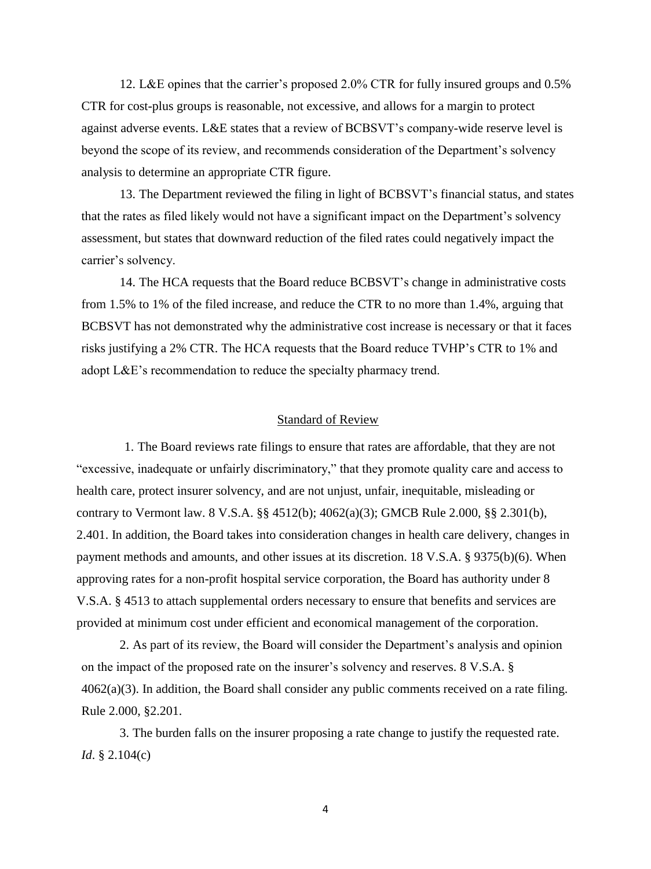12. L&E opines that the carrier's proposed 2.0% CTR for fully insured groups and 0.5% CTR for cost-plus groups is reasonable, not excessive, and allows for a margin to protect against adverse events. L&E states that a review of BCBSVT's company-wide reserve level is beyond the scope of its review, and recommends consideration of the Department's solvency analysis to determine an appropriate CTR figure.

13. The Department reviewed the filing in light of BCBSVT's financial status, and states that the rates as filed likely would not have a significant impact on the Department's solvency assessment, but states that downward reduction of the filed rates could negatively impact the carrier's solvency.

14. The HCA requests that the Board reduce BCBSVT's change in administrative costs from 1.5% to 1% of the filed increase, and reduce the CTR to no more than 1.4%, arguing that BCBSVT has not demonstrated why the administrative cost increase is necessary or that it faces risks justifying a 2% CTR. The HCA requests that the Board reduce TVHP's CTR to 1% and adopt L&E's recommendation to reduce the specialty pharmacy trend.

### Standard of Review

1. The Board reviews rate filings to ensure that rates are affordable, that they are not "excessive, inadequate or unfairly discriminatory," that they promote quality care and access to health care, protect insurer solvency, and are not unjust, unfair, inequitable, misleading or contrary to Vermont law. 8 V.S.A. §§ 4512(b); 4062(a)(3); GMCB Rule 2.000, §§ 2.301(b), 2.401. In addition, the Board takes into consideration changes in health care delivery, changes in payment methods and amounts, and other issues at its discretion. 18 V.S.A. § 9375(b)(6). When approving rates for a non-profit hospital service corporation, the Board has authority under 8 V.S.A. § 4513 to attach supplemental orders necessary to ensure that benefits and services are provided at minimum cost under efficient and economical management of the corporation.

2. As part of its review, the Board will consider the Department's analysis and opinion on the impact of the proposed rate on the insurer's solvency and reserves. 8 V.S.A. § 4062(a)(3). In addition, the Board shall consider any public comments received on a rate filing. Rule 2.000, §2.201.

3. The burden falls on the insurer proposing a rate change to justify the requested rate. *Id*. § 2.104(c)

4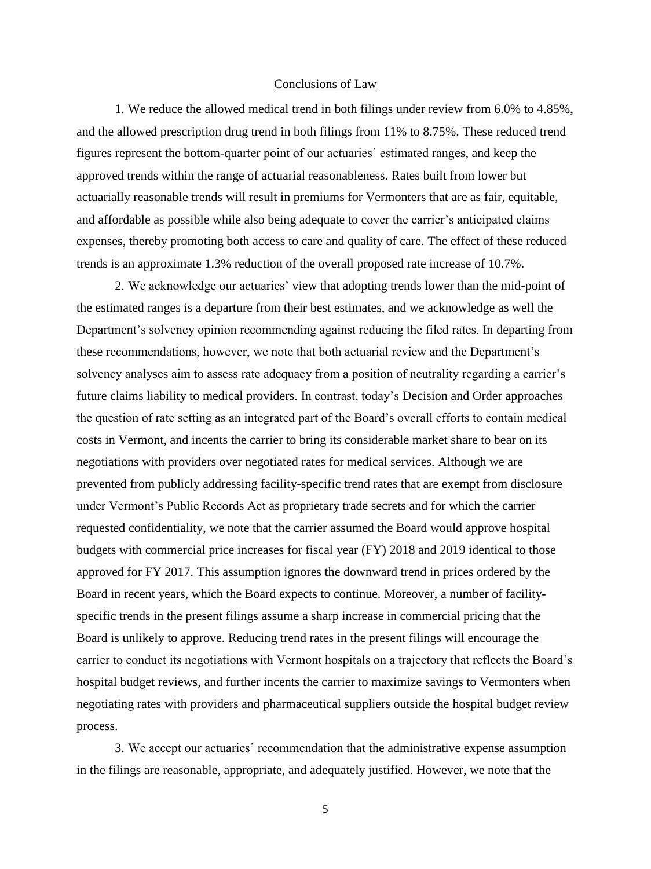### Conclusions of Law

1. We reduce the allowed medical trend in both filings under review from 6.0% to 4.85%, and the allowed prescription drug trend in both filings from 11% to 8.75%. These reduced trend figures represent the bottom-quarter point of our actuaries' estimated ranges, and keep the approved trends within the range of actuarial reasonableness. Rates built from lower but actuarially reasonable trends will result in premiums for Vermonters that are as fair, equitable, and affordable as possible while also being adequate to cover the carrier's anticipated claims expenses, thereby promoting both access to care and quality of care. The effect of these reduced trends is an approximate 1.3% reduction of the overall proposed rate increase of 10.7%.

2. We acknowledge our actuaries' view that adopting trends lower than the mid-point of the estimated ranges is a departure from their best estimates, and we acknowledge as well the Department's solvency opinion recommending against reducing the filed rates. In departing from these recommendations, however, we note that both actuarial review and the Department's solvency analyses aim to assess rate adequacy from a position of neutrality regarding a carrier's future claims liability to medical providers. In contrast, today's Decision and Order approaches the question of rate setting as an integrated part of the Board's overall efforts to contain medical costs in Vermont, and incents the carrier to bring its considerable market share to bear on its negotiations with providers over negotiated rates for medical services. Although we are prevented from publicly addressing facility-specific trend rates that are exempt from disclosure under Vermont's Public Records Act as proprietary trade secrets and for which the carrier requested confidentiality, we note that the carrier assumed the Board would approve hospital budgets with commercial price increases for fiscal year (FY) 2018 and 2019 identical to those approved for FY 2017. This assumption ignores the downward trend in prices ordered by the Board in recent years, which the Board expects to continue. Moreover, a number of facilityspecific trends in the present filings assume a sharp increase in commercial pricing that the Board is unlikely to approve. Reducing trend rates in the present filings will encourage the carrier to conduct its negotiations with Vermont hospitals on a trajectory that reflects the Board's hospital budget reviews, and further incents the carrier to maximize savings to Vermonters when negotiating rates with providers and pharmaceutical suppliers outside the hospital budget review process.

3. We accept our actuaries' recommendation that the administrative expense assumption in the filings are reasonable, appropriate, and adequately justified. However, we note that the

5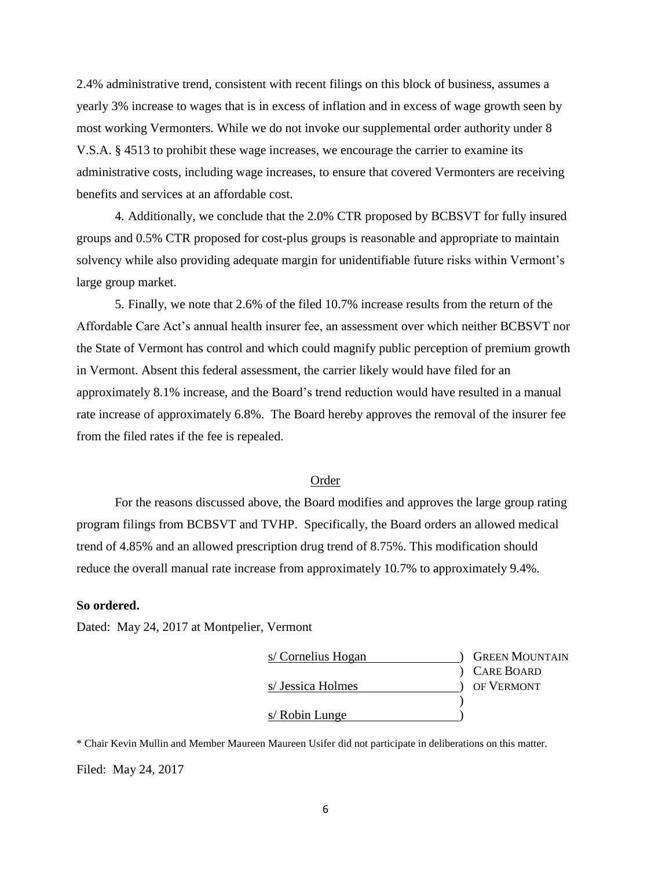2.4% administrative trend, consistent with recent filings on this block of business, assumes a yearly 3% increase to wages that is in excess of inflation and in excess of wage growth seen by most working Vermonters. While we do not invoke our supplemental order authority under 8 V.S.A. § 4513 to prohibit these wage increases, we encourage the carrier to examine its administrative costs, including wage increases, to ensure that covered Vermonters are receiving benefits and services at an affordable cost.

4. Additionally, we conclude that the 2.0% CTR proposed by BCBSVT for fully insured groups and 0.5% CTR proposed for cost-plus groups is reasonable and appropriate to maintain solvency while also providing adequate margin for unidentifiable future risks within Vermont's large group market.

5. Finally, we note that 2.6% of the filed 10.7% increase results from the return of the Affordable Care Act's annual health insurer fee, an assessment over which neither BCBSVT nor the State of Vermont has control and which could magnify public perception of premium growth in Vermont. Absent this federal assessment, the carrier likely would have filed for an approximately 8.1% increase, and the Board's trend reduction would have resulted in a manual rate increase of approximately 6.8%. The Board hereby approves the removal of the insurer fee from the filed rates if the fee is repealed.

#### Order

For the reasons discussed above, the Board modifies and approves the large group rating program filings from BCBSVT and TVHP. Specifically, the Board orders an allowed medical trend of 4.85% and an allowed prescription drug trend of 8.75%. This modification should reduce the overall manual rate increase from approximately 10.7% to approximately 9.4%.

#### **So ordered.**

Dated: May 24, 2017 at Montpelier, Vermont

| s/ Cornelius Hogan | <b>GREEN MOUNTAIN</b> |
|--------------------|-----------------------|
|                    | CARE BOARD            |
| s/ Jessica Holmes  | OF VERMONT            |
|                    |                       |
| s/ Robin Lunge     |                       |

\* Chair Kevin Mullin and Member Maureen Maureen Usifer did not participate in deliberations on this matter. Filed: May 24, 2017